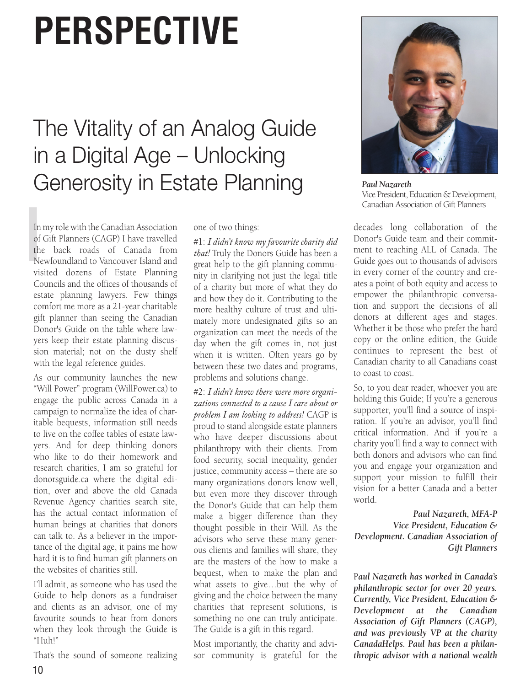## **PERSPECTIVE**

## The Vitality of an Analog Guide in a Digital Age – Unlocking Generosity in Estate Planning

In<br>
of<br>
the<br>
Ne In my role with the Canadian Association of Gift Planners (CAGP) I have travelled the back roads of Canada from Newfoundland to Vancouver Island and visited dozens of Estate Planning Councils and the offices of thousands of estate planning lawyers. Few things comfort me more as a 21-year charitable gift planner than seeing the Canadian Donor's Guide on the table where lawyers keep their estate planning discussion material; not on the dusty shelf with the legal reference guides.

As our community launches the new "Will Power" program (WillPower.ca) to engage the public across Canada in a campaign to normalize the idea of charitable bequests, information still needs to live on the coffee tables of estate lawyers. And for deep thinking donors who like to do their homework and research charities, I am so grateful for donorsguide.ca where the digital edition, over and above the old Canada Revenue Agency charities search site, has the actual contact information of human beings at charities that donors can talk to. As a believer in the importance of the digital age, it pains me how hard it is to find human gift planners on the websites of charities still.

I'll admit, as someone who has used the Guide to help donors as a fundraiser and clients as an advisor, one of my favourite sounds to hear from donors when they look through the Guide is "Huh!"

That's the sound of someone realizing

one of two things:

#1: *I didn't know my favourite charity did that!* Truly the Donors Guide has been a great help to the gift planning community in clarifying not just the legal title of a charity but more of what they do and how they do it. Contributing to the more healthy culture of trust and ultimately more undesignated gifts so an organization can meet the needs of the day when the gift comes in, not just when it is written. Often years go by between these two dates and programs, problems and solutions change.

#2: *I didn't know there were more organizations connected to a cause I care about or problem I am looking to address!* CAGP is proud to stand alongside estate planners who have deeper discussions about philanthropy with their clients. From food security, social inequality, gender justice, community access – there are so many organizations donors know well, but even more they discover through the Donor's Guide that can help them make a bigger difference than they thought possible in their Will. As the advisors who serve these many generous clients and families will share, they are the masters of the how to make a bequest, when to make the plan and what assets to give…but the why of giving and the choice between the many charities that represent solutions, is something no one can truly anticipate. The Guide is a gift in this regard.

Most importantly, the charity and advisor community is grateful for the



*Paul Nazareth*  Vice President, Education & Development, Canadian Association of Gift Planners

decades long collaboration of the Donor's Guide team and their commitment to reaching ALL of Canada. The Guide goes out to thousands of advisors in every corner of the country and creates a point of both equity and access to empower the philanthropic conversation and support the decisions of all donors at different ages and stages. Whether it be those who prefer the hard copy or the online edition, the Guide continues to represent the best of Canadian charity to all Canadians coast to coast to coast.

So, to you dear reader, whoever you are holding this Guide; If you're a generous supporter, you'll find a source of inspiration. If you're an advisor, you'll find critical information. And if you're a charity you'll find a way to connect with both donors and advisors who can find you and engage your organization and support your mission to fulfill their vision for a better Canada and a better world.

*Paul Nazareth, MFA-P Vice President, Education & Development. Canadian Association of Gift Planners*

P*aul Nazareth has worked in Canada's philanthropic sector for over 20 years. Currently, Vice President, Education & Development at the Canadian Association of Gift Planners (CAGP), and was previously VP at the charity CanadaHelps. Paul has been a philanthropic advisor with a national wealth*